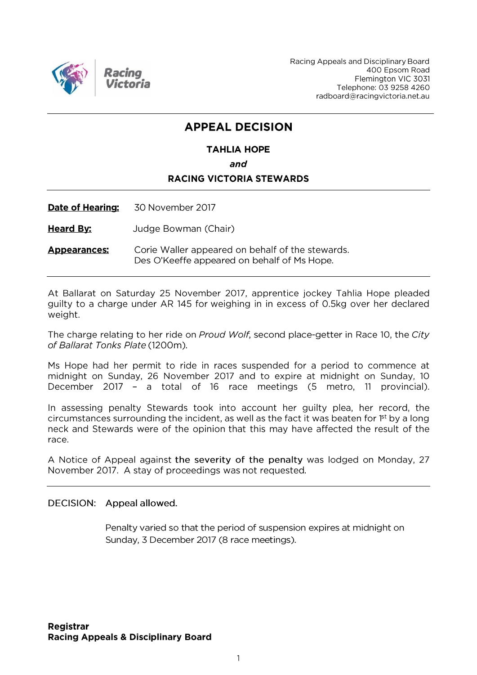

Racing Appeals and Disciplinary Board 400 Epsom Road Flemington VIC 3031 Telephone: 03 9258 4260 radboard@racingvictoria.net.au

## **APPEAL DECISION**

## **TAHLIA HOPE** and **RACING VICTORIA STEWARDS**

Date of Hearing: 30 November 2017

**Heard By:** Judge Bowman (Chair)

Corie Waller appeared on behalf of the stewards. **Appearances:** Des O'Keeffe appeared on behalf of Ms Hope.

At Ballarat on Saturday 25 November 2017, apprentice jockey Tahlia Hope pleaded guilty to a charge under AR 145 for weighing in in excess of 0.5kg over her declared weight.

The charge relating to her ride on Proud Wolf, second place-getter in Race 10, the City of Ballarat Tonks Plate (1200m).

Ms Hope had her permit to ride in races suspended for a period to commence at midnight on Sunday, 26 November 2017 and to expire at midnight on Sunday, 10 December 2017 - a total of 16 race meetings (5 metro, 11 provincial).

In assessing penalty Stewards took into account her guilty plea, her record, the circumstances surrounding the incident, as well as the fact it was beaten for 1<sup>st</sup> by a long neck and Stewards were of the opinion that this may have affected the result of the race.

A Notice of Appeal against the severity of the penalty was lodged on Monday, 27 November 2017. A stay of proceedings was not requested.

#### DECISION: Appeal allowed.

Penalty varied so that the period of suspension expires at midnight on Sunday, 3 December 2017 (8 race meetings).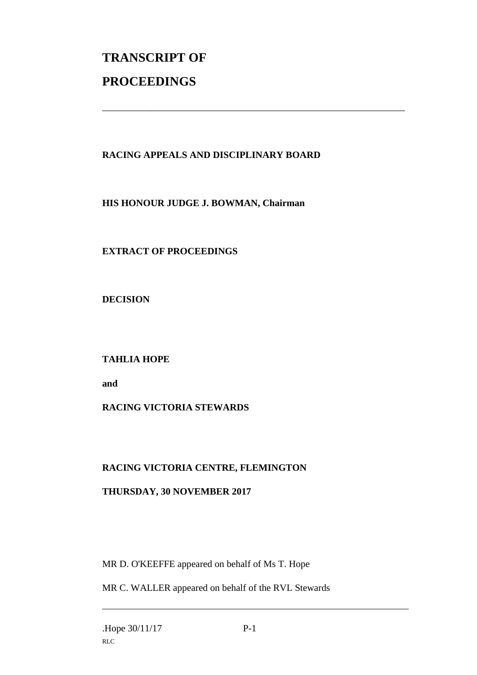# **TRANSCRIPT OF PROCEEDINGS**

#### **RACING APPEALS AND DISCIPLINARY BOARD**

\_\_\_\_\_\_\_\_\_\_\_\_\_\_\_\_\_\_\_\_\_\_\_\_\_\_\_\_\_\_\_\_\_\_\_\_\_\_\_\_\_\_\_\_\_\_\_\_\_\_\_\_\_\_\_\_\_\_\_\_\_\_\_

**HIS HONOUR JUDGE J. BOWMAN, Chairman**

**EXTRACT OF PROCEEDINGS**

**DECISION**

**TAHLIA HOPE**

**and**

### **RACING VICTORIA STEWARDS**

### **RACING VICTORIA CENTRE, FLEMINGTON**

#### **THURSDAY, 30 NOVEMBER 2017**

MR D. O'KEEFFE appeared on behalf of Ms T. Hope

MR C. WALLER appeared on behalf of the RVL Stewards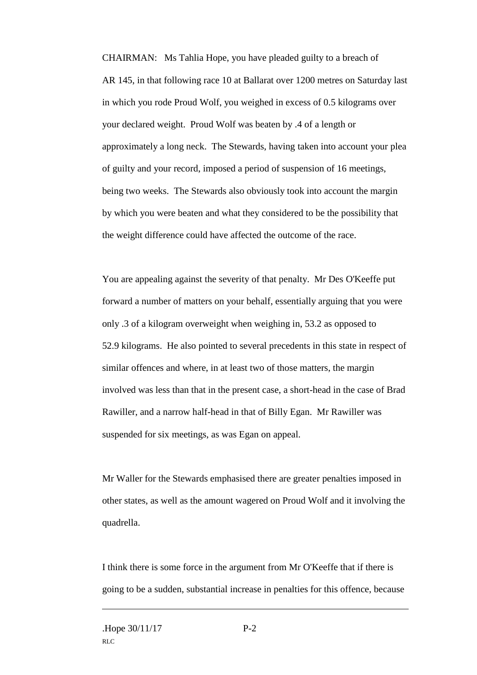CHAIRMAN: Ms Tahlia Hope, you have pleaded guilty to a breach of AR 145, in that following race 10 at Ballarat over 1200 metres on Saturday last in which you rode Proud Wolf, you weighed in excess of 0.5 kilograms over your declared weight. Proud Wolf was beaten by .4 of a length or approximately a long neck. The Stewards, having taken into account your plea of guilty and your record, imposed a period of suspension of 16 meetings, being two weeks. The Stewards also obviously took into account the margin by which you were beaten and what they considered to be the possibility that the weight difference could have affected the outcome of the race.

You are appealing against the severity of that penalty. Mr Des O'Keeffe put forward a number of matters on your behalf, essentially arguing that you were only .3 of a kilogram overweight when weighing in, 53.2 as opposed to 52.9 kilograms. He also pointed to several precedents in this state in respect of similar offences and where, in at least two of those matters, the margin involved was less than that in the present case, a short-head in the case of Brad Rawiller, and a narrow half-head in that of Billy Egan. Mr Rawiller was suspended for six meetings, as was Egan on appeal.

Mr Waller for the Stewards emphasised there are greater penalties imposed in other states, as well as the amount wagered on Proud Wolf and it involving the quadrella.

I think there is some force in the argument from Mr O'Keeffe that if there is going to be a sudden, substantial increase in penalties for this offence, because